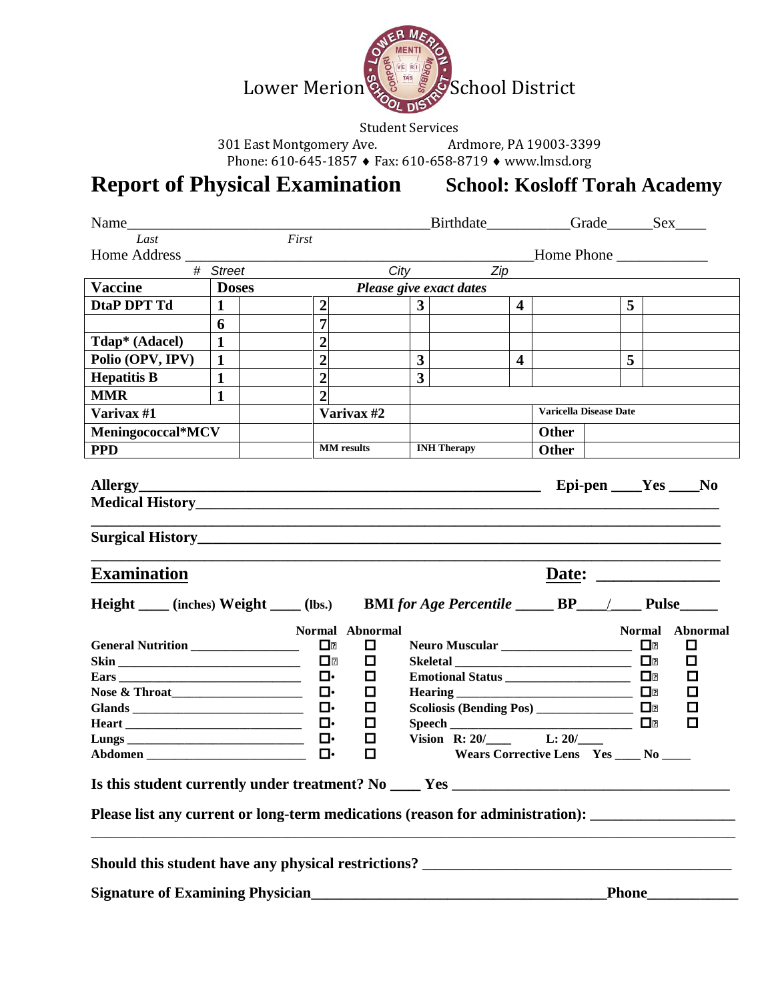

Student Services<br>Ardmore, PA 19003-3399 301 East Montgomery Ave.

Phone: 610-645-1857 ♦ Fax: 610-658-8719 ♦ www.lmsd.org

# **Report of Physical Examination School: Kosloff Torah Academy**

|                                                                                                                       |              |  |                                                                                                             |                                                                   |                | Birthdate__________Grade______Sex____                                                                |                               |                                                                  |  |                                                                                       |                                        |
|-----------------------------------------------------------------------------------------------------------------------|--------------|--|-------------------------------------------------------------------------------------------------------------|-------------------------------------------------------------------|----------------|------------------------------------------------------------------------------------------------------|-------------------------------|------------------------------------------------------------------|--|---------------------------------------------------------------------------------------|----------------------------------------|
| Last                                                                                                                  |              |  | First                                                                                                       |                                                                   |                |                                                                                                      |                               |                                                                  |  |                                                                                       |                                        |
| Home Address                                                                                                          |              |  |                                                                                                             |                                                                   |                |                                                                                                      |                               | $\underline{\hspace{2cm}}$ Home Phone $\underline{\hspace{2cm}}$ |  |                                                                                       |                                        |
|                                                                                                                       | # Street     |  |                                                                                                             |                                                                   |                | <b>City</b><br>Zip                                                                                   |                               |                                                                  |  |                                                                                       |                                        |
| <b>Vaccine</b>                                                                                                        | <b>Doses</b> |  |                                                                                                             |                                                                   |                | Please give exact dates                                                                              |                               |                                                                  |  |                                                                                       |                                        |
| DtaP DPT Td                                                                                                           | $\mathbf{1}$ |  | $\boldsymbol{2}$                                                                                            |                                                                   | 3 <sup>1</sup> |                                                                                                      | $\overline{4}$                |                                                                  |  | 5                                                                                     |                                        |
|                                                                                                                       | 6            |  | $\overline{7}$                                                                                              |                                                                   |                |                                                                                                      |                               |                                                                  |  |                                                                                       |                                        |
| Tdap* (Adacel)                                                                                                        | $\mathbf{1}$ |  | $\overline{2}$                                                                                              |                                                                   |                |                                                                                                      |                               |                                                                  |  |                                                                                       |                                        |
| Polio (OPV, IPV)                                                                                                      | $\mathbf{1}$ |  | $\overline{2}$                                                                                              |                                                                   | 3 <sup>1</sup> |                                                                                                      | $\overline{\mathbf{4}}$       |                                                                  |  | 5                                                                                     |                                        |
| <b>Hepatitis B</b>                                                                                                    | 1            |  | $\overline{2}$                                                                                              |                                                                   | $\overline{3}$ |                                                                                                      |                               |                                                                  |  |                                                                                       |                                        |
| <b>MMR</b>                                                                                                            | $\mathbf{1}$ |  | $\overline{2}$                                                                                              |                                                                   |                |                                                                                                      |                               |                                                                  |  |                                                                                       |                                        |
| Varivax #1                                                                                                            |              |  |                                                                                                             | Varivax #2                                                        |                |                                                                                                      | <b>Varicella Disease Date</b> |                                                                  |  |                                                                                       |                                        |
| Meningococcal*MCV                                                                                                     |              |  |                                                                                                             |                                                                   |                |                                                                                                      |                               | Other                                                            |  |                                                                                       |                                        |
| <b>PPD</b>                                                                                                            |              |  | <b>MM</b> results                                                                                           |                                                                   |                | <b>INH Therapy</b>                                                                                   |                               | Other                                                            |  |                                                                                       |                                        |
| <b>Surgical History</b>                                                                                               |              |  |                                                                                                             |                                                                   |                |                                                                                                      |                               |                                                                  |  |                                                                                       |                                        |
| <b>Examination</b>                                                                                                    |              |  |                                                                                                             |                                                                   |                |                                                                                                      |                               |                                                                  |  |                                                                                       |                                        |
|                                                                                                                       |              |  |                                                                                                             |                                                                   |                |                                                                                                      |                               |                                                                  |  |                                                                                       |                                        |
| Height ____ (inches) Weight ____ (lbs.) BMI for Age Percentile ______ BP____/ _____ Pulse                             |              |  |                                                                                                             |                                                                   |                |                                                                                                      |                               |                                                                  |  |                                                                                       |                                        |
| General Nutrition<br><b>Ears</b><br>Is this student currently under treatment? No _____Yes __________________________ |              |  | $\blacksquare$<br>$\blacksquare$<br>$\Box$<br>$\Box$<br>$\Box$<br>$\mathbf{\mathsf{u}}$<br>$\Box$<br>$\Box$ | Normal Abnormal<br>$\Box$<br>◻<br>◘<br>◻<br>$\Box$<br>◻<br>□<br>□ |                | Emotional Status ______________________<br><b>Hearing</b><br>Scoliosis (Bending Pos) _______________ |                               | Wears Corrective Lens Yes _____ No _____                         |  | <b>Normal</b><br>⊡∙<br>$\mathbf{\mathsf{u}}\cdot$<br>O.<br>$\blacksquare$<br>O.<br>П. | Abnormal<br>ப<br>◻<br>□<br>◻<br>口<br>◻ |
| Please list any current or long-term medications (reason for administration): _____________________                   |              |  |                                                                                                             |                                                                   |                |                                                                                                      |                               |                                                                  |  |                                                                                       |                                        |